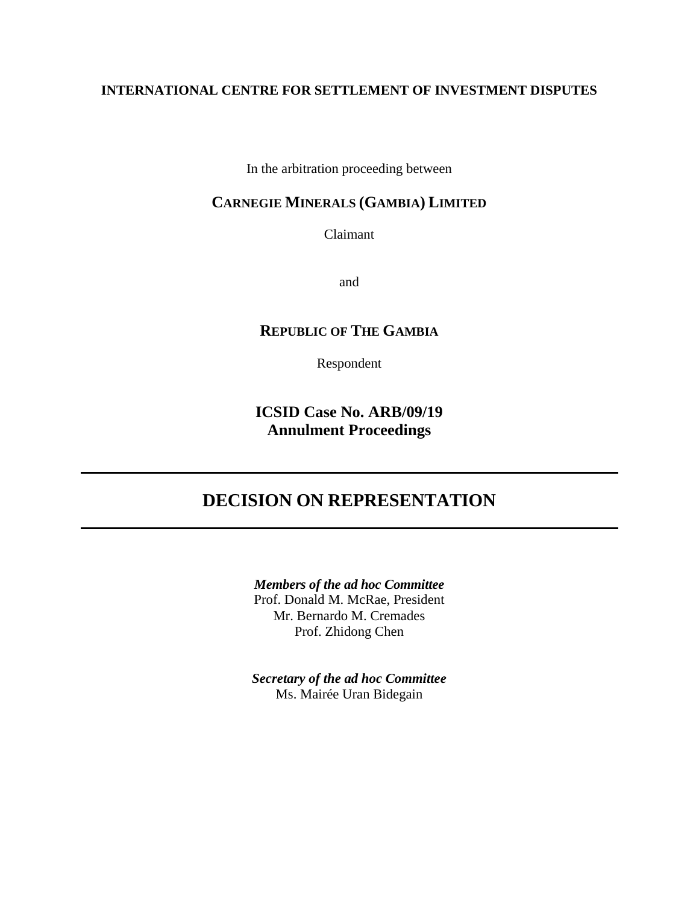# **INTERNATIONAL CENTRE FOR SETTLEMENT OF INVESTMENT DISPUTES**

In the arbitration proceeding between

# **CARNEGIE MINERALS (GAMBIA) LIMITED**

Claimant

and

# **REPUBLIC OF THE GAMBIA**

Respondent

**ICSID Case No. ARB/09/19 Annulment Proceedings** 

# **DECISION ON REPRESENTATION**

*Members of the ad hoc Committee*  Prof. Donald M. McRae, President Mr. Bernardo M. Cremades Prof. Zhidong Chen

*Secretary of the ad hoc Committee*  Ms. Mairée Uran Bidegain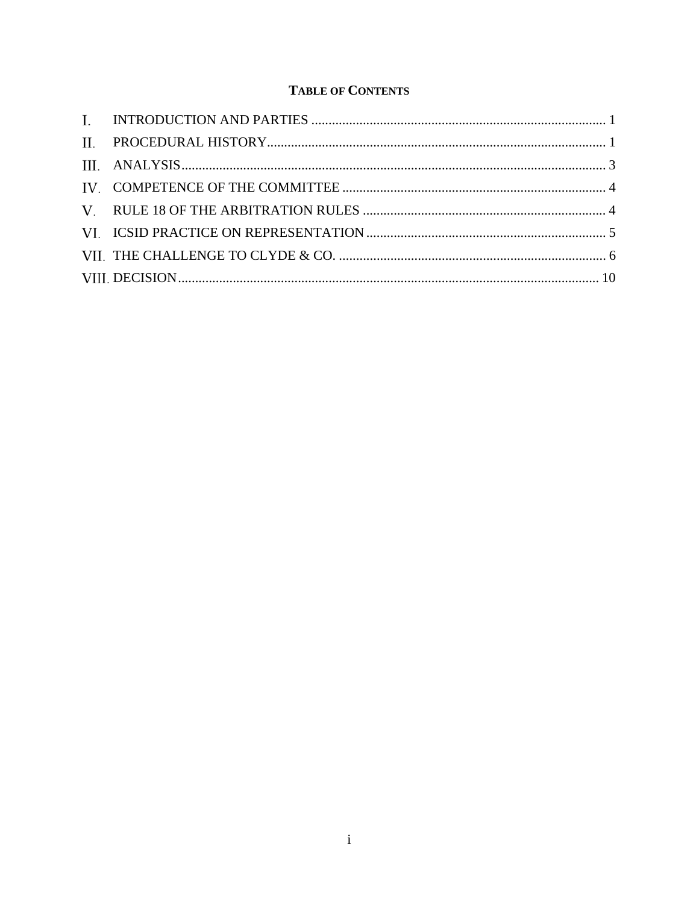# **TABLE OF CONTENTS**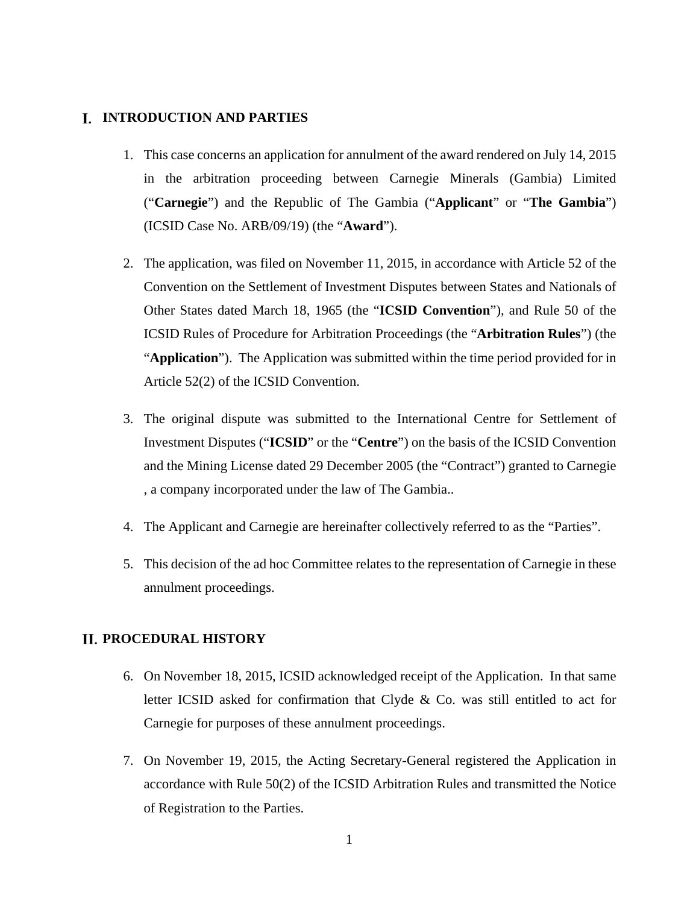### **I. INTRODUCTION AND PARTIES**

- 1. This case concerns an application for annulment of the award rendered on July 14, 2015 in the arbitration proceeding between Carnegie Minerals (Gambia) Limited ("**Carnegie**") and the Republic of The Gambia ("**Applicant**" or "**The Gambia**") (ICSID Case No. ARB/09/19) (the "**Award**").
- 2. The application, was filed on November 11, 2015, in accordance with Article 52 of the Convention on the Settlement of Investment Disputes between States and Nationals of Other States dated March 18, 1965 (the "**ICSID Convention**"), and Rule 50 of the ICSID Rules of Procedure for Arbitration Proceedings (the "**Arbitration Rules**") (the "**Application**"). The Application was submitted within the time period provided for in Article 52(2) of the ICSID Convention.
- 3. The original dispute was submitted to the International Centre for Settlement of Investment Disputes ("**ICSID**" or the "**Centre**") on the basis of the ICSID Convention and the Mining License dated 29 December 2005 (the "Contract") granted to Carnegie , a company incorporated under the law of The Gambia..
- 4. The Applicant and Carnegie are hereinafter collectively referred to as the "Parties".
- 5. This decision of the ad hoc Committee relates to the representation of Carnegie in these annulment proceedings.

### **PROCEDURAL HISTORY**

- 6. On November 18, 2015, ICSID acknowledged receipt of the Application. In that same letter ICSID asked for confirmation that Clyde & Co. was still entitled to act for Carnegie for purposes of these annulment proceedings.
- 7. On November 19, 2015, the Acting Secretary-General registered the Application in accordance with Rule 50(2) of the ICSID Arbitration Rules and transmitted the Notice of Registration to the Parties.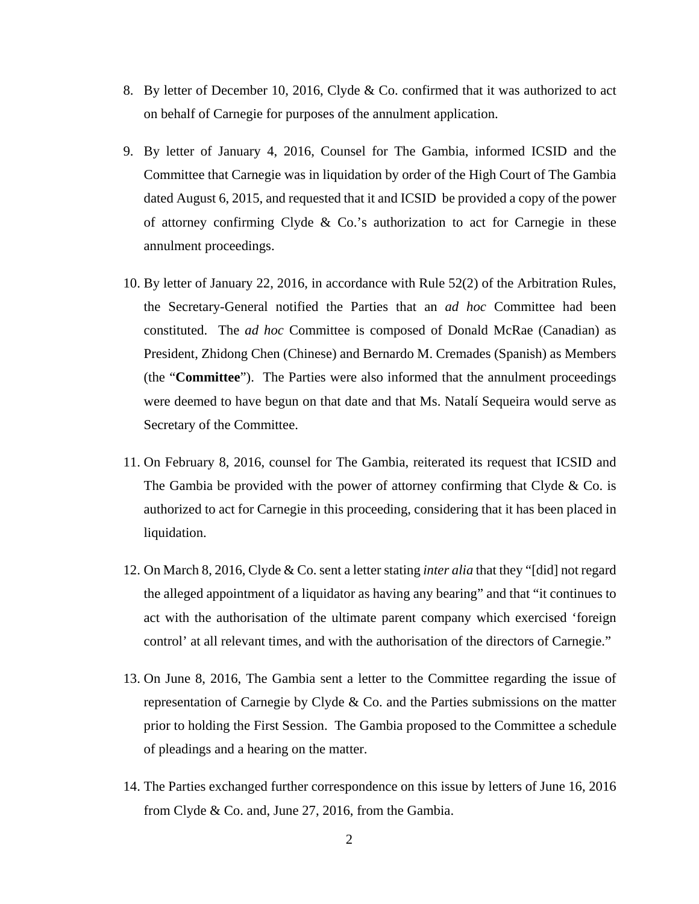- 8. By letter of December 10, 2016, Clyde & Co. confirmed that it was authorized to act on behalf of Carnegie for purposes of the annulment application.
- 9. By letter of January 4, 2016, Counsel for The Gambia, informed ICSID and the Committee that Carnegie was in liquidation by order of the High Court of The Gambia dated August 6, 2015, and requested that it and ICSID be provided a copy of the power of attorney confirming Clyde & Co.'s authorization to act for Carnegie in these annulment proceedings.
- 10. By letter of January 22, 2016, in accordance with Rule 52(2) of the Arbitration Rules, the Secretary-General notified the Parties that an *ad hoc* Committee had been constituted. The *ad hoc* Committee is composed of Donald McRae (Canadian) as President, Zhidong Chen (Chinese) and Bernardo M. Cremades (Spanish) as Members (the "**Committee**"). The Parties were also informed that the annulment proceedings were deemed to have begun on that date and that Ms. Natalí Sequeira would serve as Secretary of the Committee.
- 11. On February 8, 2016, counsel for The Gambia, reiterated its request that ICSID and The Gambia be provided with the power of attorney confirming that Clyde  $& Co.$  is authorized to act for Carnegie in this proceeding, considering that it has been placed in liquidation.
- 12. On March 8, 2016, Clyde & Co. sent a letter stating *inter alia* that they "[did] not regard the alleged appointment of a liquidator as having any bearing" and that "it continues to act with the authorisation of the ultimate parent company which exercised 'foreign control' at all relevant times, and with the authorisation of the directors of Carnegie."
- 13. On June 8, 2016, The Gambia sent a letter to the Committee regarding the issue of representation of Carnegie by Clyde  $\&$  Co. and the Parties submissions on the matter prior to holding the First Session. The Gambia proposed to the Committee a schedule of pleadings and a hearing on the matter.
- 14. The Parties exchanged further correspondence on this issue by letters of June 16, 2016 from Clyde & Co. and, June 27, 2016, from the Gambia.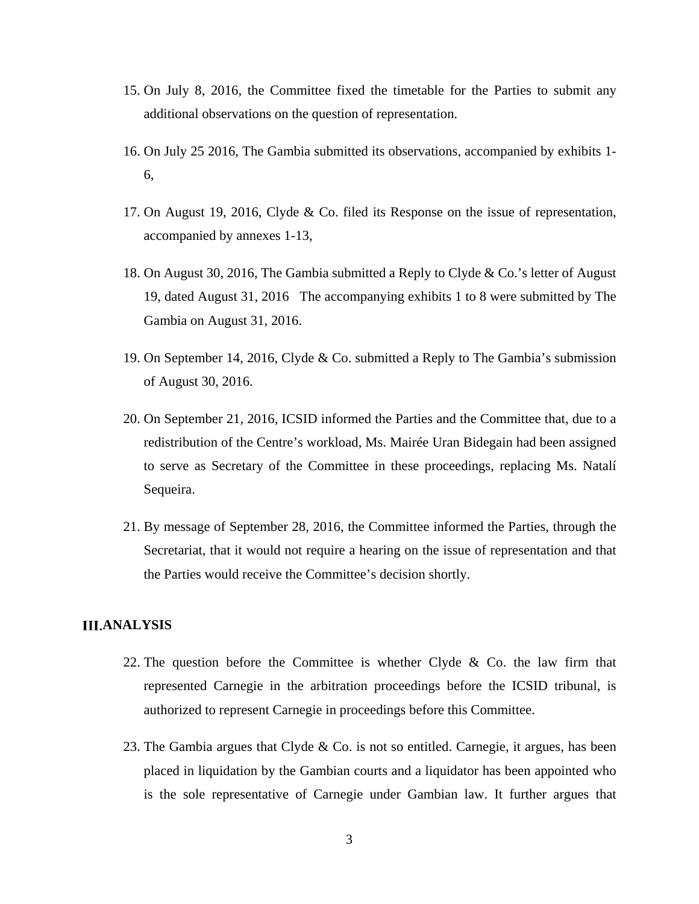- 15. On July 8, 2016, the Committee fixed the timetable for the Parties to submit any additional observations on the question of representation.
- 16. On July 25 2016, The Gambia submitted its observations, accompanied by exhibits 1- 6,
- 17. On August 19, 2016, Clyde & Co. filed its Response on the issue of representation, accompanied by annexes 1-13,
- 18. On August 30, 2016, The Gambia submitted a Reply to Clyde & Co.'s letter of August 19, dated August 31, 2016 The accompanying exhibits 1 to 8 were submitted by The Gambia on August 31, 2016.
- 19. On September 14, 2016, Clyde & Co. submitted a Reply to The Gambia's submission of August 30, 2016.
- 20. On September 21, 2016, ICSID informed the Parties and the Committee that, due to a redistribution of the Centre's workload, Ms. Mairée Uran Bidegain had been assigned to serve as Secretary of the Committee in these proceedings, replacing Ms. Natalí Sequeira.
- 21. By message of September 28, 2016, the Committee informed the Parties, through the Secretariat, that it would not require a hearing on the issue of representation and that the Parties would receive the Committee's decision shortly.

### **III.ANALYSIS**

- 22. The question before the Committee is whether Clyde  $\&$  Co. the law firm that represented Carnegie in the arbitration proceedings before the ICSID tribunal, is authorized to represent Carnegie in proceedings before this Committee.
- 23. The Gambia argues that Clyde  $\&$  Co. is not so entitled. Carnegie, it argues, has been placed in liquidation by the Gambian courts and a liquidator has been appointed who is the sole representative of Carnegie under Gambian law. It further argues that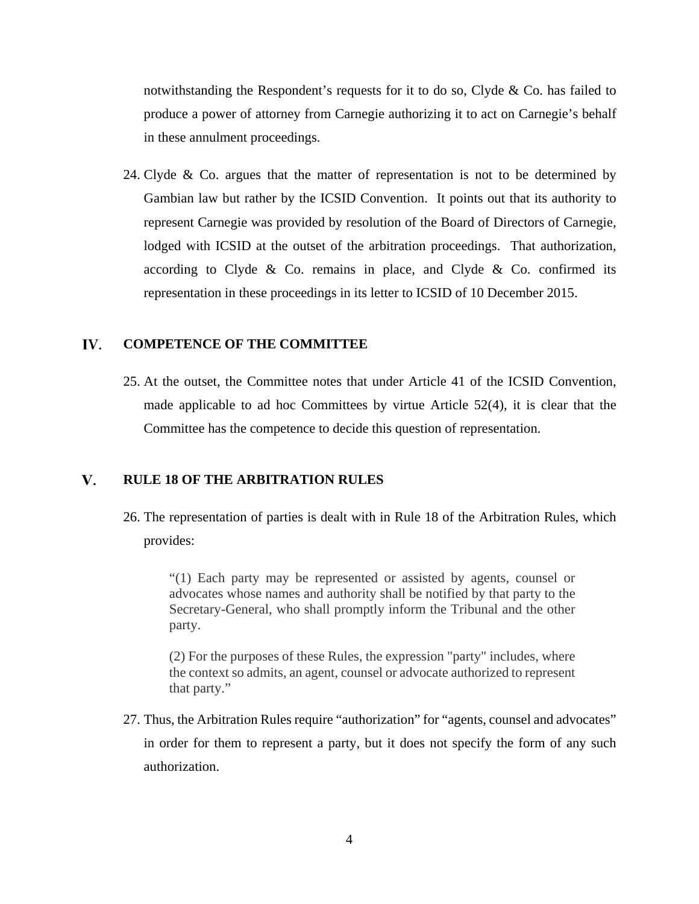notwithstanding the Respondent's requests for it to do so, Clyde & Co. has failed to produce a power of attorney from Carnegie authorizing it to act on Carnegie's behalf in these annulment proceedings.

24. Clyde  $\&$  Co. argues that the matter of representation is not to be determined by Gambian law but rather by the ICSID Convention. It points out that its authority to represent Carnegie was provided by resolution of the Board of Directors of Carnegie, lodged with ICSID at the outset of the arbitration proceedings. That authorization, according to Clyde  $\&$  Co. remains in place, and Clyde  $\&$  Co. confirmed its representation in these proceedings in its letter to ICSID of 10 December 2015.

#### IV. **COMPETENCE OF THE COMMITTEE**

25. At the outset, the Committee notes that under Article 41 of the ICSID Convention, made applicable to ad hoc Committees by virtue Article 52(4), it is clear that the Committee has the competence to decide this question of representation.

#### V. **RULE 18 OF THE ARBITRATION RULES**

26. The representation of parties is dealt with in Rule 18 of the Arbitration Rules, which provides:

"(1) Each party may be represented or assisted by agents, counsel or advocates whose names and authority shall be notified by that party to the Secretary-General, who shall promptly inform the Tribunal and the other party.

(2) For the purposes of these Rules, the expression "party" includes, where the context so admits, an agent, counsel or advocate authorized to represent that party."

27. Thus, the Arbitration Rules require "authorization" for "agents, counsel and advocates" in order for them to represent a party, but it does not specify the form of any such authorization.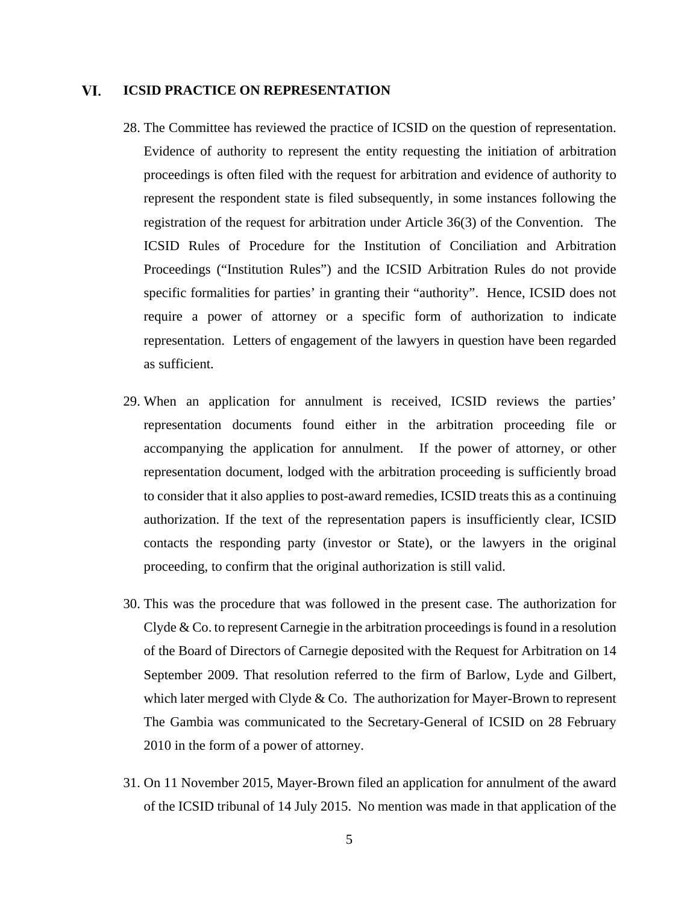#### VI. **ICSID PRACTICE ON REPRESENTATION**

- 28. The Committee has reviewed the practice of ICSID on the question of representation. Evidence of authority to represent the entity requesting the initiation of arbitration proceedings is often filed with the request for arbitration and evidence of authority to represent the respondent state is filed subsequently, in some instances following the registration of the request for arbitration under Article 36(3) of the Convention. The ICSID Rules of Procedure for the Institution of Conciliation and Arbitration Proceedings ("Institution Rules") and the ICSID Arbitration Rules do not provide specific formalities for parties' in granting their "authority". Hence, ICSID does not require a power of attorney or a specific form of authorization to indicate representation. Letters of engagement of the lawyers in question have been regarded as sufficient.
- 29. When an application for annulment is received, ICSID reviews the parties' representation documents found either in the arbitration proceeding file or accompanying the application for annulment. If the power of attorney, or other representation document, lodged with the arbitration proceeding is sufficiently broad to consider that it also applies to post-award remedies, ICSID treats this as a continuing authorization. If the text of the representation papers is insufficiently clear, ICSID contacts the responding party (investor or State), or the lawyers in the original proceeding, to confirm that the original authorization is still valid.
- 30. This was the procedure that was followed in the present case. The authorization for Clyde & Co. to represent Carnegie in the arbitration proceedings is found in a resolution of the Board of Directors of Carnegie deposited with the Request for Arbitration on 14 September 2009. That resolution referred to the firm of Barlow, Lyde and Gilbert, which later merged with Clyde  $&$  Co. The authorization for Mayer-Brown to represent The Gambia was communicated to the Secretary-General of ICSID on 28 February 2010 in the form of a power of attorney.
- 31. On 11 November 2015, Mayer-Brown filed an application for annulment of the award of the ICSID tribunal of 14 July 2015. No mention was made in that application of the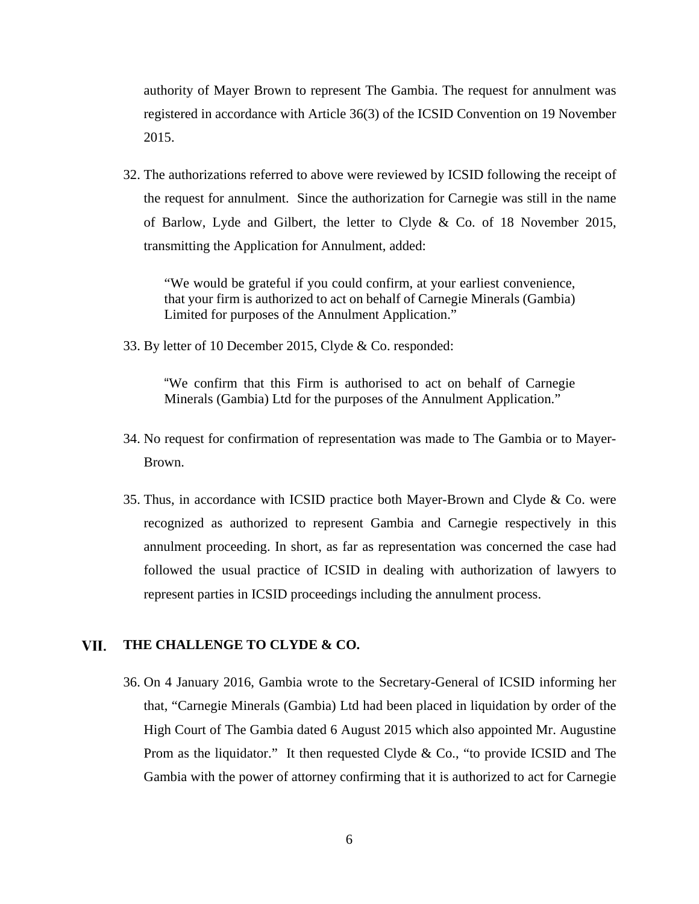authority of Mayer Brown to represent The Gambia. The request for annulment was registered in accordance with Article 36(3) of the ICSID Convention on 19 November 2015.

32. The authorizations referred to above were reviewed by ICSID following the receipt of the request for annulment. Since the authorization for Carnegie was still in the name of Barlow, Lyde and Gilbert, the letter to Clyde & Co. of 18 November 2015, transmitting the Application for Annulment, added:

"We would be grateful if you could confirm, at your earliest convenience, that your firm is authorized to act on behalf of Carnegie Minerals (Gambia) Limited for purposes of the Annulment Application."

33. By letter of 10 December 2015, Clyde & Co. responded:

"We confirm that this Firm is authorised to act on behalf of Carnegie Minerals (Gambia) Ltd for the purposes of the Annulment Application."

- 34. No request for confirmation of representation was made to The Gambia or to Mayer-Brown.
- 35. Thus, in accordance with ICSID practice both Mayer-Brown and Clyde & Co. were recognized as authorized to represent Gambia and Carnegie respectively in this annulment proceeding. In short, as far as representation was concerned the case had followed the usual practice of ICSID in dealing with authorization of lawyers to represent parties in ICSID proceedings including the annulment process.

#### VII. **THE CHALLENGE TO CLYDE & CO.**

36. On 4 January 2016, Gambia wrote to the Secretary-General of ICSID informing her that, "Carnegie Minerals (Gambia) Ltd had been placed in liquidation by order of the High Court of The Gambia dated 6 August 2015 which also appointed Mr. Augustine Prom as the liquidator." It then requested Clyde  $\&$  Co., "to provide ICSID and The Gambia with the power of attorney confirming that it is authorized to act for Carnegie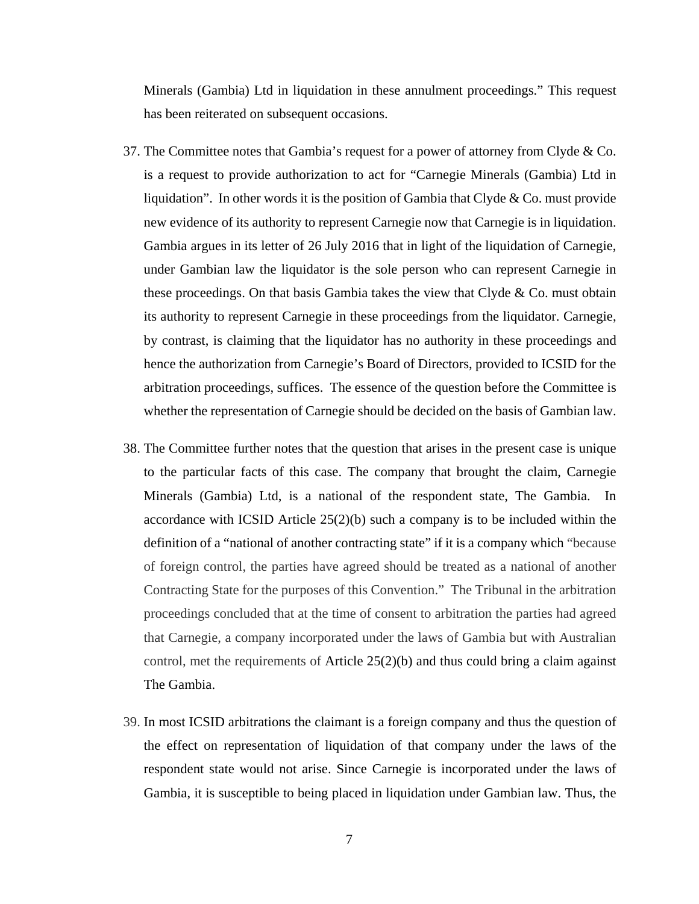Minerals (Gambia) Ltd in liquidation in these annulment proceedings." This request has been reiterated on subsequent occasions.

- 37. The Committee notes that Gambia's request for a power of attorney from Clyde & Co. is a request to provide authorization to act for "Carnegie Minerals (Gambia) Ltd in liquidation". In other words it is the position of Gambia that Clyde  $&$  Co. must provide new evidence of its authority to represent Carnegie now that Carnegie is in liquidation. Gambia argues in its letter of 26 July 2016 that in light of the liquidation of Carnegie, under Gambian law the liquidator is the sole person who can represent Carnegie in these proceedings. On that basis Gambia takes the view that Clyde  $\&$  Co. must obtain its authority to represent Carnegie in these proceedings from the liquidator. Carnegie, by contrast, is claiming that the liquidator has no authority in these proceedings and hence the authorization from Carnegie's Board of Directors, provided to ICSID for the arbitration proceedings, suffices. The essence of the question before the Committee is whether the representation of Carnegie should be decided on the basis of Gambian law.
- 38. The Committee further notes that the question that arises in the present case is unique to the particular facts of this case. The company that brought the claim, Carnegie Minerals (Gambia) Ltd, is a national of the respondent state, The Gambia. In accordance with ICSID Article  $25(2)(b)$  such a company is to be included within the definition of a "national of another contracting state" if it is a company which "because of foreign control, the parties have agreed should be treated as a national of another Contracting State for the purposes of this Convention." The Tribunal in the arbitration proceedings concluded that at the time of consent to arbitration the parties had agreed that Carnegie, a company incorporated under the laws of Gambia but with Australian control, met the requirements of Article 25(2)(b) and thus could bring a claim against The Gambia.
- 39. In most ICSID arbitrations the claimant is a foreign company and thus the question of the effect on representation of liquidation of that company under the laws of the respondent state would not arise. Since Carnegie is incorporated under the laws of Gambia, it is susceptible to being placed in liquidation under Gambian law. Thus, the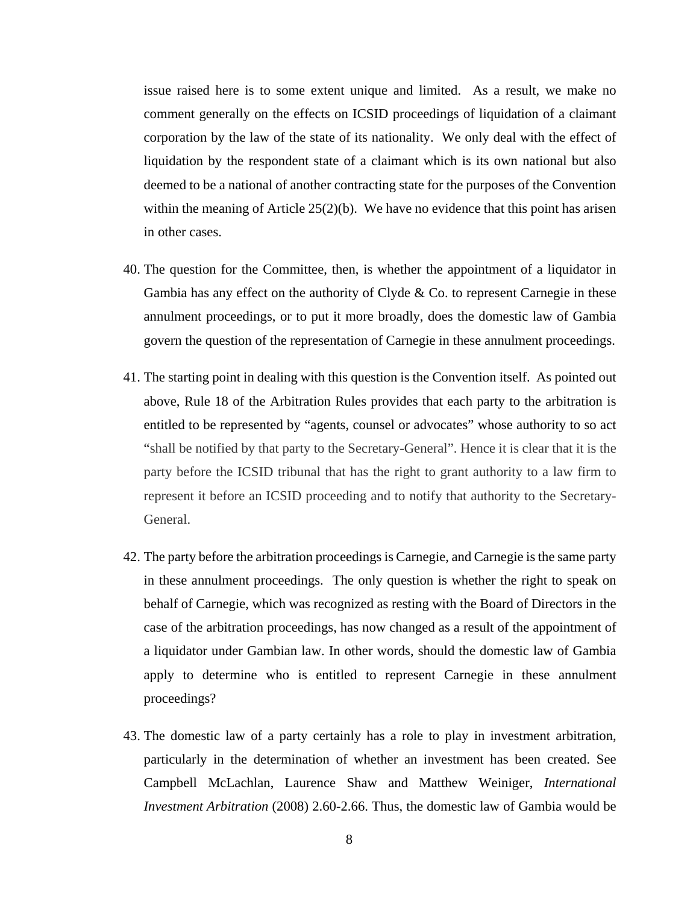issue raised here is to some extent unique and limited. As a result, we make no comment generally on the effects on ICSID proceedings of liquidation of a claimant corporation by the law of the state of its nationality. We only deal with the effect of liquidation by the respondent state of a claimant which is its own national but also deemed to be a national of another contracting state for the purposes of the Convention within the meaning of Article  $25(2)(b)$ . We have no evidence that this point has arisen in other cases.

- 40. The question for the Committee, then, is whether the appointment of a liquidator in Gambia has any effect on the authority of Clyde  $& Co.$  to represent Carnegie in these annulment proceedings, or to put it more broadly, does the domestic law of Gambia govern the question of the representation of Carnegie in these annulment proceedings.
- 41. The starting point in dealing with this question is the Convention itself. As pointed out above, Rule 18 of the Arbitration Rules provides that each party to the arbitration is entitled to be represented by "agents, counsel or advocates" whose authority to so act "shall be notified by that party to the Secretary-General". Hence it is clear that it is the party before the ICSID tribunal that has the right to grant authority to a law firm to represent it before an ICSID proceeding and to notify that authority to the Secretary-General.
- 42. The party before the arbitration proceedings is Carnegie, and Carnegie is the same party in these annulment proceedings. The only question is whether the right to speak on behalf of Carnegie, which was recognized as resting with the Board of Directors in the case of the arbitration proceedings, has now changed as a result of the appointment of a liquidator under Gambian law. In other words, should the domestic law of Gambia apply to determine who is entitled to represent Carnegie in these annulment proceedings?
- 43. The domestic law of a party certainly has a role to play in investment arbitration, particularly in the determination of whether an investment has been created. See Campbell McLachlan, Laurence Shaw and Matthew Weiniger, *International Investment Arbitration* (2008) 2.60-2.66. Thus, the domestic law of Gambia would be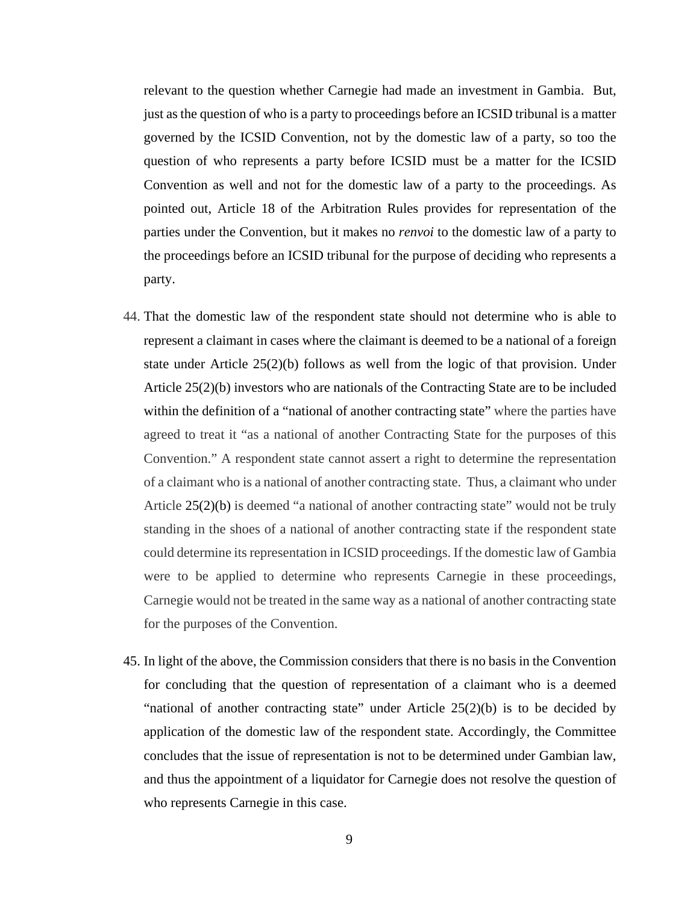relevant to the question whether Carnegie had made an investment in Gambia. But, just as the question of who is a party to proceedings before an ICSID tribunal is a matter governed by the ICSID Convention, not by the domestic law of a party, so too the question of who represents a party before ICSID must be a matter for the ICSID Convention as well and not for the domestic law of a party to the proceedings. As pointed out, Article 18 of the Arbitration Rules provides for representation of the parties under the Convention, but it makes no *renvoi* to the domestic law of a party to the proceedings before an ICSID tribunal for the purpose of deciding who represents a party.

- 44. That the domestic law of the respondent state should not determine who is able to represent a claimant in cases where the claimant is deemed to be a national of a foreign state under Article 25(2)(b) follows as well from the logic of that provision. Under Article 25(2)(b) investors who are nationals of the Contracting State are to be included within the definition of a "national of another contracting state" where the parties have agreed to treat it "as a national of another Contracting State for the purposes of this Convention." A respondent state cannot assert a right to determine the representation of a claimant who is a national of another contracting state. Thus, a claimant who under Article 25(2)(b) is deemed "a national of another contracting state" would not be truly standing in the shoes of a national of another contracting state if the respondent state could determine its representation in ICSID proceedings. If the domestic law of Gambia were to be applied to determine who represents Carnegie in these proceedings, Carnegie would not be treated in the same way as a national of another contracting state for the purposes of the Convention.
- 45. In light of the above, the Commission considers that there is no basis in the Convention for concluding that the question of representation of a claimant who is a deemed "national of another contracting state" under Article  $25(2)(b)$  is to be decided by application of the domestic law of the respondent state. Accordingly, the Committee concludes that the issue of representation is not to be determined under Gambian law, and thus the appointment of a liquidator for Carnegie does not resolve the question of who represents Carnegie in this case.